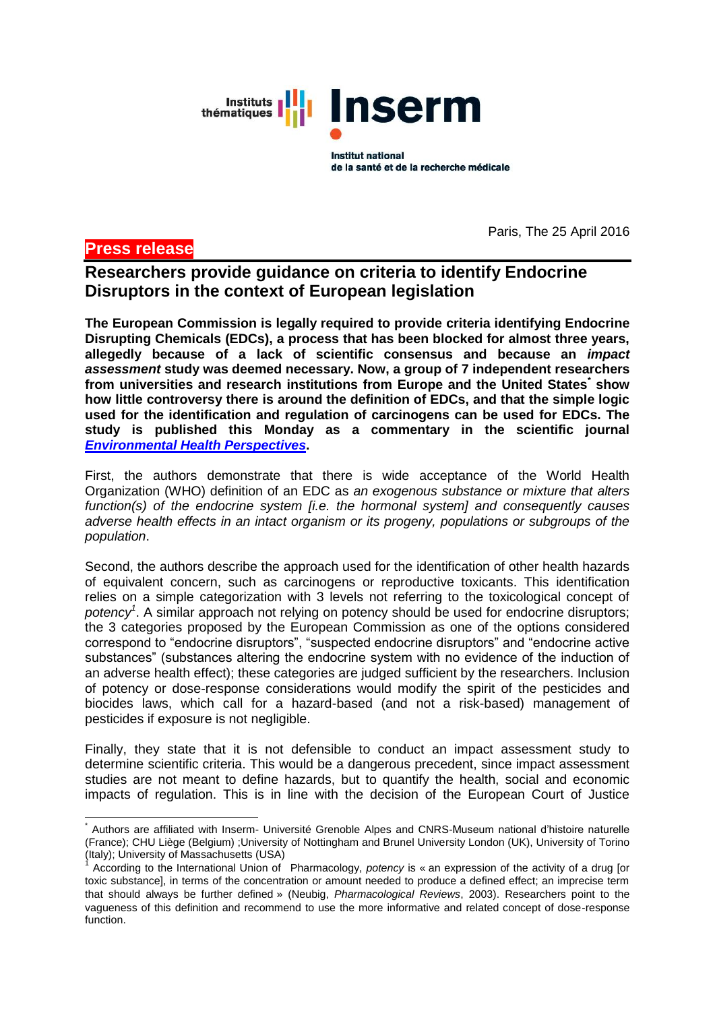Instituts | | | | | **Inserm** thématiques

> **Institut national** de la santé et de la recherche médicale

# **Press release**

 $\frac{1}{2}$ 

Paris, The 25 April 2016

# **Researchers provide guidance on criteria to identify Endocrine Disruptors in the context of European legislation**

**The European Commission is legally required to provide criteria identifying Endocrine Disrupting Chemicals (EDCs), a process that has been blocked for almost three years, allegedly because of a lack of scientific consensus and because an** *impact assessment* **study was deemed necessary. Now, a group of 7 independent researchers from universities and research institutions from Europe and the United States\* show how little controversy there is around the definition of EDCs, and that the simple logic used for the identification and regulation of carcinogens can be used for EDCs. The study is published this Monday as a commentary in the scientific journal**  *[Environmental Health Perspectives](http://ehp.niehs.nih.gov/EHP217)***.** 

First, the authors demonstrate that there is wide acceptance of the World Health Organization (WHO) definition of an EDC as *an exogenous substance or mixture that alters function(s) of the endocrine system [i.e. the hormonal system] and consequently causes adverse health effects in an intact organism or its progeny, populations or subgroups of the population*.

Second, the authors describe the approach used for the identification of other health hazards of equivalent concern, such as carcinogens or reproductive toxicants. This identification relies on a simple categorization with 3 levels not referring to the toxicological concept of *potency<sup>1</sup>* . A similar approach not relying on potency should be used for endocrine disruptors; the 3 categories proposed by the European Commission as one of the options considered correspond to "endocrine disruptors", "suspected endocrine disruptors" and "endocrine active substances" (substances altering the endocrine system with no evidence of the induction of an adverse health effect); these categories are judged sufficient by the researchers. Inclusion of potency or dose-response considerations would modify the spirit of the pesticides and biocides laws, which call for a hazard-based (and not a risk-based) management of pesticides if exposure is not negligible.

Finally, they state that it is not defensible to conduct an impact assessment study to determine scientific criteria. This would be a dangerous precedent, since impact assessment studies are not meant to define hazards, but to quantify the health, social and economic impacts of regulation. This is in line with the decision of the European Court of Justice

<sup>\*</sup> Authors are affiliated with Inserm- Université Grenoble Alpes and CNRS-Museum national d'histoire naturelle (France); CHU Liège (Belgium) ;University of Nottingham and Brunel University London (UK), University of Torino (Italy); University of Massachusetts (USA)

<sup>1</sup> According to the International Union of Pharmacology, *potency* is « an expression of the activity of a drug [or toxic substance], in terms of the concentration or amount needed to produce a defined effect; an imprecise term that should always be further defined » (Neubig, *Pharmacological Reviews*, 2003). Researchers point to the vagueness of this definition and recommend to use the more informative and related concept of dose-response function.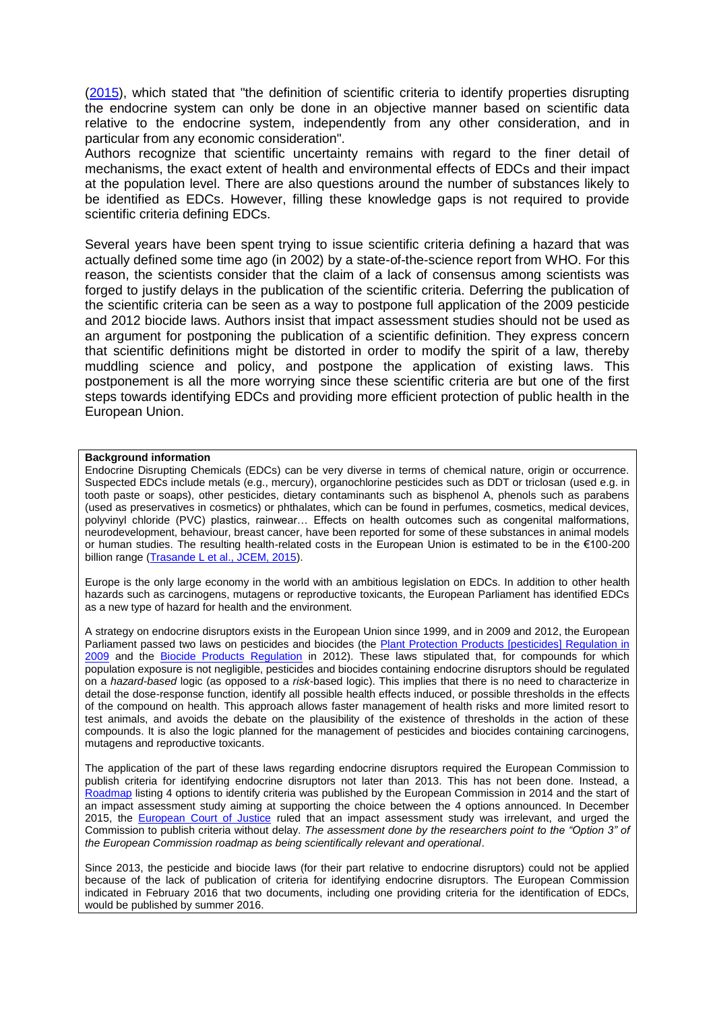[\(2015\)](http://curia.europa.eu/juris/document/document_print.jsf?doclang=FR&text=&pageIndex=0&part=1&mode=lst&docid=173067&occ=first&dir=&cid=750233), which stated that "the definition of scientific criteria to identify properties disrupting the endocrine system can only be done in an objective manner based on scientific data relative to the endocrine system, independently from any other consideration, and in particular from any economic consideration".

Authors recognize that scientific uncertainty remains with regard to the finer detail of mechanisms, the exact extent of health and environmental effects of EDCs and their impact at the population level. There are also questions around the number of substances likely to be identified as EDCs. However, filling these knowledge gaps is not required to provide scientific criteria defining EDCs.

Several years have been spent trying to issue scientific criteria defining a hazard that was actually defined some time ago (in 2002) by a state-of-the-science report from WHO. For this reason, the scientists consider that the claim of a lack of consensus among scientists was forged to justify delays in the publication of the scientific criteria. Deferring the publication of the scientific criteria can be seen as a way to postpone full application of the 2009 pesticide and 2012 biocide laws. Authors insist that impact assessment studies should not be used as an argument for postponing the publication of a scientific definition. They express concern that scientific definitions might be distorted in order to modify the spirit of a law, thereby muddling science and policy, and postpone the application of existing laws. This postponement is all the more worrying since these scientific criteria are but one of the first steps towards identifying EDCs and providing more efficient protection of public health in the European Union.

#### **Background information**

Endocrine Disrupting Chemicals (EDCs) can be very diverse in terms of chemical nature, origin or occurrence. Suspected EDCs include metals (e.g., mercury), organochlorine pesticides such as DDT or triclosan (used e.g. in tooth paste or soaps), other pesticides, dietary contaminants such as bisphenol A, phenols such as parabens (used as preservatives in cosmetics) or phthalates, which can be found in perfumes, cosmetics, medical devices, polyvinyl chloride (PVC) plastics, rainwear… Effects on health outcomes such as congenital malformations, neurodevelopment, behaviour, breast cancer, have been reported for some of these substances in animal models or human studies. The resulting health-related costs in the European Union is estimated to be in the €100-200 billion range [\(Trasande L et al., JCEM, 2015\)](http://www.ncbi.nlm.nih.gov/pubmed/25742516).

Europe is the only large economy in the world with an ambitious legislation on EDCs. In addition to other health hazards such as carcinogens, mutagens or reproductive toxicants, the European Parliament has identified EDCs as a new type of hazard for health and the environment.

A strategy on endocrine disruptors exists in the European Union since 1999, and in 2009 and 2012, the European Parliament passed two laws on pesticides and biocides (the [Plant Protection Products \[pesticides\] Regulation in](http://eur-lex.europa.eu/legal-content/EN/TXT/?uri=CELEX:32009R1107)  [2009](http://eur-lex.europa.eu/legal-content/EN/TXT/?uri=CELEX:32009R1107) and the [Biocide Products Regulation](http://eur-lex.europa.eu/legal-content/EN/TXT/PDF/?uri=CELEX:02012R0528-20140425&from=EN) in 2012). These laws stipulated that, for compounds for which population exposure is not negligible, pesticides and biocides containing endocrine disruptors should be regulated on a *hazard-based* logic (as opposed to a *risk*-based logic). This implies that there is no need to characterize in detail the dose-response function, identify all possible health effects induced, or possible thresholds in the effects of the compound on health. This approach allows faster management of health risks and more limited resort to test animals, and avoids the debate on the plausibility of the existence of thresholds in the action of these compounds. It is also the logic planned for the management of pesticides and biocides containing carcinogens, mutagens and reproductive toxicants.

The application of the part of these laws regarding endocrine disruptors required the European Commission to publish criteria for identifying endocrine disruptors not later than 2013. This has not been done. Instead, a [Roadmap](http://ec.europa.eu/smart-regulation/impact/planned_ia/docs/2014_env_009_endocrine_disruptors_en.pdf) listing 4 options to identify criteria was published by the European Commission in 2014 and the start of an impact assessment study aiming at supporting the choice between the 4 options announced. In December 2015, the [European Court of Justice](http://curia.europa.eu/juris/document/document_print.jsf?doclang=FR&text=&pageIndex=0&part=1&mode=lst&docid=173067&occ=first&dir=&cid=750233) ruled that an impact assessment study was irrelevant, and urged the Commission to publish criteria without delay. *The assessment done by the researchers point to the "Option 3" of the European Commission roadmap as being scientifically relevant and operational*.

Since 2013, the pesticide and biocide laws (for their part relative to endocrine disruptors) could not be applied because of the lack of publication of criteria for identifying endocrine disruptors. The European Commission indicated in February 2016 that two documents, including one providing criteria for the identification of EDCs, would be published by summer 2016.